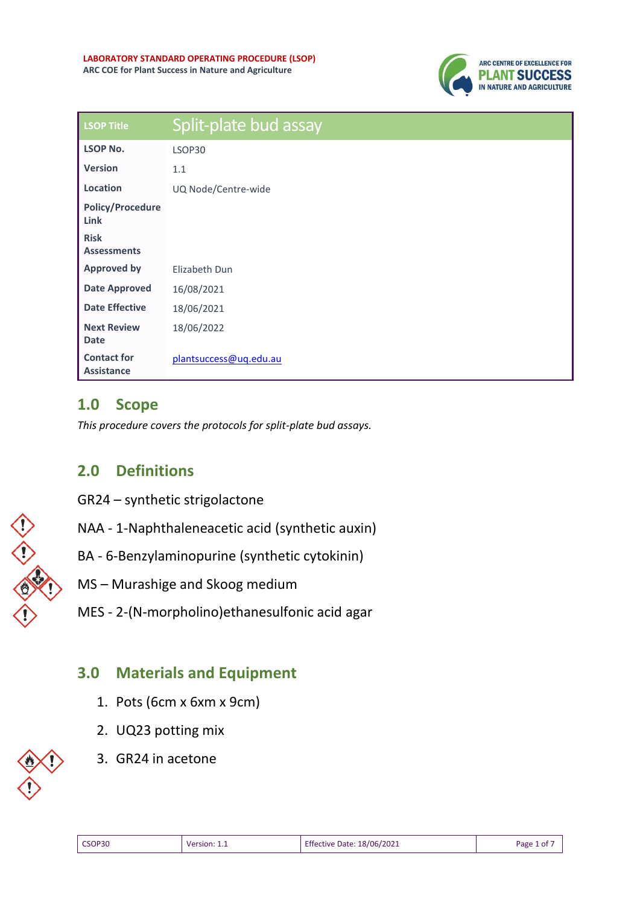

| <b>LSOP Title</b>                       | Split-plate bud assay  |
|-----------------------------------------|------------------------|
| <b>LSOP No.</b>                         | LSOP30                 |
| <b>Version</b>                          | 1.1                    |
| Location                                | UQ Node/Centre-wide    |
| <b>Policy/Procedure</b><br>Link         |                        |
| <b>Risk</b><br><b>Assessments</b>       |                        |
| <b>Approved by</b>                      | Elizabeth Dun          |
| <b>Date Approved</b>                    | 16/08/2021             |
| <b>Date Effective</b>                   | 18/06/2021             |
| <b>Next Review</b><br><b>Date</b>       | 18/06/2022             |
| <b>Contact for</b><br><b>Assistance</b> | plantsuccess@uq.edu.au |

### **1.0 Scope**

*This procedure covers the protocols for split-plate bud assays.* 

## **2.0 Definitions**

- GR24 synthetic strigolactone
- NAA 1-Naphthaleneacetic acid (synthetic auxin)
- BA 6-Benzylaminopurine (synthetic cytokinin)
- MS Murashige and Skoog medium
- MES 2-(N-morpholino)ethanesulfonic acid agar

# **3.0 Materials and Equipment**

- 1. Pots (6cm x 6xm x 9cm)
- 2. UQ23 potting mix
- 3. GR24 in acetone

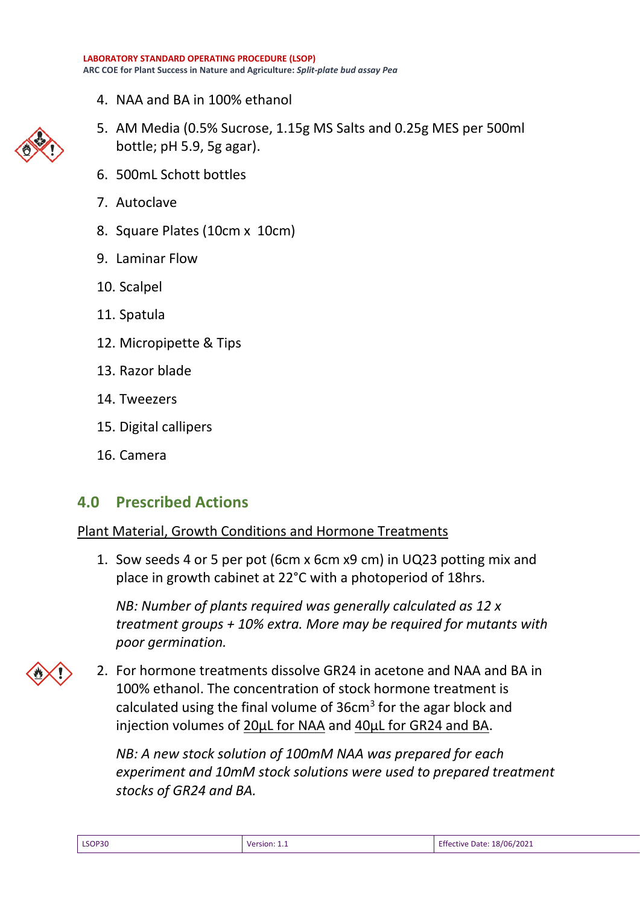4. NAA and BA in 100% ethanol



- 5. AM Media (0.5% Sucrose, 1.15g MS Salts and 0.25g MES per 500ml bottle; pH 5.9, 5g agar).
- 6. 500mL Schott bottles
- 7. Autoclave
- 8. Square Plates (10cm x 10cm)
- 9. Laminar Flow
- 10. Scalpel
- 11. Spatula
- 12. Micropipette & Tips
- 13. Razor blade
- 14. Tweezers
- 15. Digital callipers
- 16. Camera

### **4.0 Prescribed Actions**

#### Plant Material, Growth Conditions and Hormone Treatments

1. Sow seeds 4 or 5 per pot (6cm x 6cm x9 cm) in UQ23 potting mix and place in growth cabinet at 22°C with a photoperiod of 18hrs.

*NB: Number of plants required was generally calculated as 12 x treatment groups + 10% extra. More may be required for mutants with poor germination.*

2. For hormone treatments dissolve GR24 in acetone and NAA and BA in 100% ethanol. The concentration of stock hormone treatment is calculated using the final volume of  $36cm<sup>3</sup>$  for the agar block and injection volumes of 20µL for NAA and 40µL for GR24 and BA.

*NB: A new stock solution of 100mM NAA was prepared for each experiment and 10mM stock solutions were used to prepared treatment stocks of GR24 and BA.* 

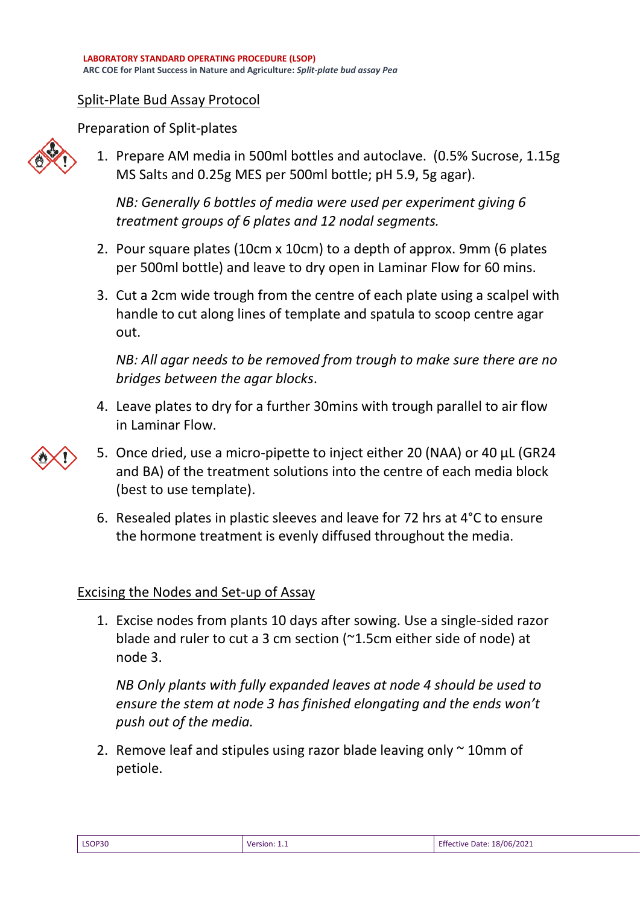#### Split-Plate Bud Assay Protocol

Preparation of Split-plates



1. Prepare AM media in 500ml bottles and autoclave. (0.5% Sucrose, 1.15g MS Salts and 0.25g MES per 500ml bottle; pH 5.9, 5g agar).

*NB: Generally 6 bottles of media were used per experiment giving 6 treatment groups of 6 plates and 12 nodal segments.*

- 2. Pour square plates (10cm x 10cm) to a depth of approx. 9mm (6 plates per 500ml bottle) and leave to dry open in Laminar Flow for 60 mins.
- 3. Cut a 2cm wide trough from the centre of each plate using a scalpel with handle to cut along lines of template and spatula to scoop centre agar out.

*NB: All agar needs to be removed from trough to make sure there are no bridges between the agar blocks*.

- 4. Leave plates to dry for a further 30mins with trough parallel to air flow in Laminar Flow.
- 5. Once dried, use a micro-pipette to inject either 20 (NAA) or 40 µL (GR24 and BA) of the treatment solutions into the centre of each media block (best to use template).
- 6. Resealed plates in plastic sleeves and leave for 72 hrs at 4°C to ensure the hormone treatment is evenly diffused throughout the media.

#### Excising the Nodes and Set-up of Assay

1. Excise nodes from plants 10 days after sowing. Use a single-sided razor blade and ruler to cut a 3 cm section (~1.5cm either side of node) at node 3.

*NB Only plants with fully expanded leaves at node 4 should be used to ensure the stem at node 3 has finished elongating and the ends won't push out of the media.*

2. Remove leaf and stipules using razor blade leaving only  $\sim$  10mm of petiole.

|--|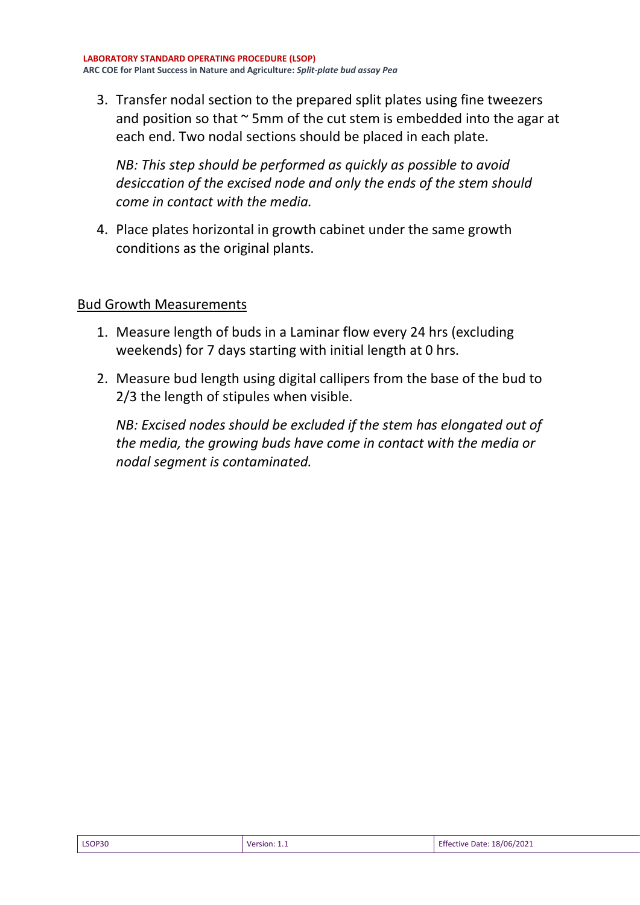3. Transfer nodal section to the prepared split plates using fine tweezers and position so that  $\sim$  5mm of the cut stem is embedded into the agar at each end. Two nodal sections should be placed in each plate.

*NB: This step should be performed as quickly as possible to avoid desiccation of the excised node and only the ends of the stem should come in contact with the media.* 

4. Place plates horizontal in growth cabinet under the same growth conditions as the original plants.

#### Bud Growth Measurements

- 1. Measure length of buds in a Laminar flow every 24 hrs (excluding weekends) for 7 days starting with initial length at 0 hrs.
- 2. Measure bud length using digital callipers from the base of the bud to 2/3 the length of stipules when visible.

*NB: Excised nodes should be excluded if the stem has elongated out of the media, the growing buds have come in contact with the media or nodal segment is contaminated.*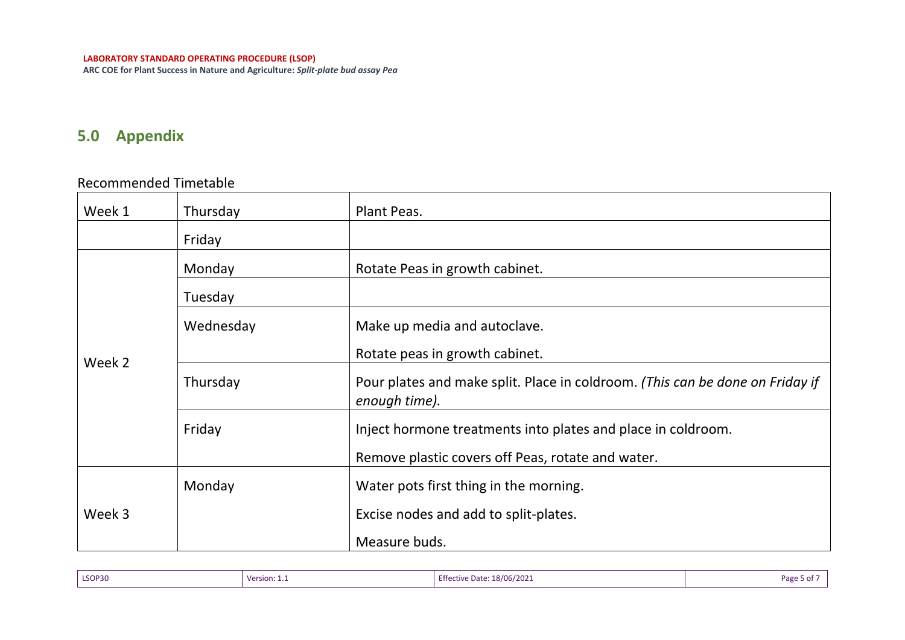**ARC COE for Plant Success in Nature and Agriculture:** *Split-plate bud assay Pea*

# **5.0 Appendix**

#### Recommended Timetable

| Week 1 | Thursday  | Plant Peas.                                                                                    |
|--------|-----------|------------------------------------------------------------------------------------------------|
|        | Friday    |                                                                                                |
|        | Monday    | Rotate Peas in growth cabinet.                                                                 |
|        | Tuesday   |                                                                                                |
|        | Wednesday | Make up media and autoclave.                                                                   |
| Week 2 |           | Rotate peas in growth cabinet.                                                                 |
|        | Thursday  | Pour plates and make split. Place in coldroom. (This can be done on Friday if<br>enough time). |
|        | Friday    | Inject hormone treatments into plates and place in coldroom.                                   |
|        |           | Remove plastic covers off Peas, rotate and water.                                              |
|        | Monday    | Water pots first thing in the morning.                                                         |
| Week 3 |           | Excise nodes and add to split-plates.                                                          |
|        |           | Measure buds.                                                                                  |

| LSOP30 | Version: 1.1 | <b>Effective Date: 18/06/2021</b>                                                                               | Page 5 of . |
|--------|--------------|-----------------------------------------------------------------------------------------------------------------|-------------|
|        |              | the contract of the contract of the contract of the contract of the contract of the contract of the contract of |             |
|        |              |                                                                                                                 |             |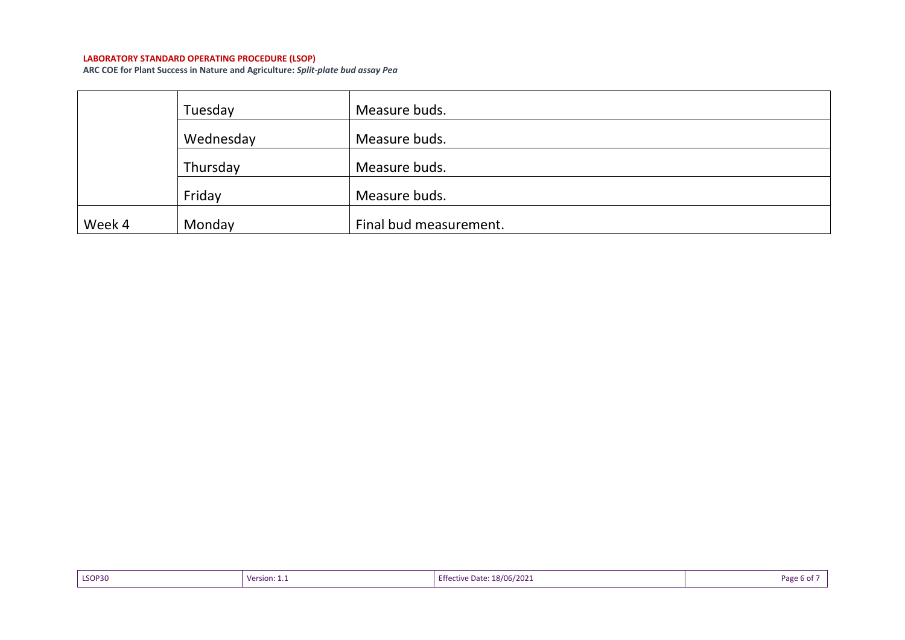#### **LABORATORY STANDARD OPERATING PROCEDURE (LSOP)**

**ARC COE for Plant Success in Nature and Agriculture:** *Split-plate bud assay Pea*

|        | Tuesday   | Measure buds.          |
|--------|-----------|------------------------|
|        | Wednesday | Measure buds.          |
|        | Thursday  | Measure buds.          |
|        | Friday    | Measure buds.          |
| Week 4 | Monday    | Final bud measurement. |

| LSOP30 | Version: $1_{\cdot}$ | <b>Effective Date: 18/06/2021</b> | Pag<br>9 b Ol |
|--------|----------------------|-----------------------------------|---------------|
|--------|----------------------|-----------------------------------|---------------|